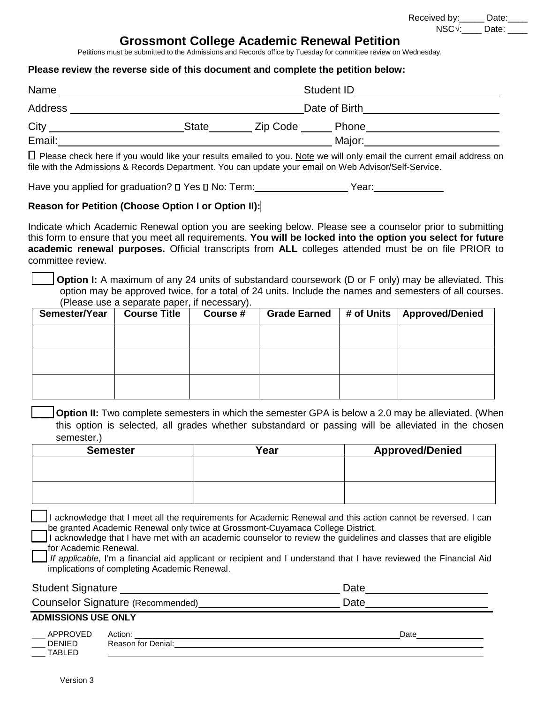| Received by:  | Date: |
|---------------|-------|
| $NSC\sqrt{2}$ | Date: |

# **Grossmont College Academic Renewal Petition**

Petitions must be submitted to the Admissions and Records office by Tuesday for committee review on Wednesday.

### **Please review the reverse side of this document and complete the petition below:**

| Name    |                          | <b>Student ID</b> |
|---------|--------------------------|-------------------|
| Address | Date of Birth            |                   |
| City    | Zip Code<br><b>State</b> | Phone             |
| Email:  |                          | Major:            |

■ Please check here if you would like your results emailed to you. Note we will only email the current email address on file with the Admissions & Records Department. You can update your email on Web Advisor/Self-Service.

Have you applied for graduation?  $\square$  Yes  $\square$  No: Term: Year: Year:

## **Reason for Petition (Choose Option I or Option II):**

Indicate which Academic Renewal option you are seeking below. Please see a counselor prior to submitting this form to ensure that you meet all requirements. **You will be locked into the option you select for future academic renewal purposes.** Official transcripts from **ALL** colleges attended must be on file PRIOR to committee review.

**Option I:** A maximum of any 24 units of substandard coursework (D or F only) may be alleviated. This option may be approved twice, for a total of 24 units. Include the names and semesters of all courses. (Please use a separate paper, if necessary).

| Semester/Year | <b>Course Title</b> | Course # | <b>Grade Earned</b> | # of Units   Approved/Denied |
|---------------|---------------------|----------|---------------------|------------------------------|
|               |                     |          |                     |                              |
|               |                     |          |                     |                              |
|               |                     |          |                     |                              |
|               |                     |          |                     |                              |
|               |                     |          |                     |                              |
|               |                     |          |                     |                              |

**Option II:** Two complete semesters in which the semester GPA is below a 2.0 may be alleviated. (When this option is selected, all grades whether substandard or passing will be alleviated in the chosen semester.)

| <b>Semester</b> | <b>Approved/Denied</b><br>Year |  |
|-----------------|--------------------------------|--|
|                 |                                |  |
|                 |                                |  |
|                 |                                |  |
|                 |                                |  |

- \_\_\_ I acknowledge that I meet all the requirements for Academic Renewal and this action cannot be reversed. I can be granted Academic Renewal only twice at Grossmont-Cuyamaca College District.
- I acknowledge that I have met with an academic counselor to review the guidelines and classes that are eligible for Academic Renewal.

If applicable, I'm a financial aid applicant or recipient and I understand that I have reviewed the Financial Aid implications of completing Academic Renewal.

| <b>Student Signature</b>          | ⊃ate |
|-----------------------------------|------|
| Counselor Signature (Recommended) | Date |

# **ADMISSIONS USE ONLY**

| $\cdot$ $\cdot$ $\sim$ $\cdot$<br>┒<br>. .<br>____ | Action.                | Date |
|----------------------------------------------------|------------------------|------|
| . <del>.</del> .<br>DF<br>∵NIEL<br>_____           | Denial:<br>tor<br>∍e∩r |      |
| --<br><b>TABI</b><br>____                          |                        |      |